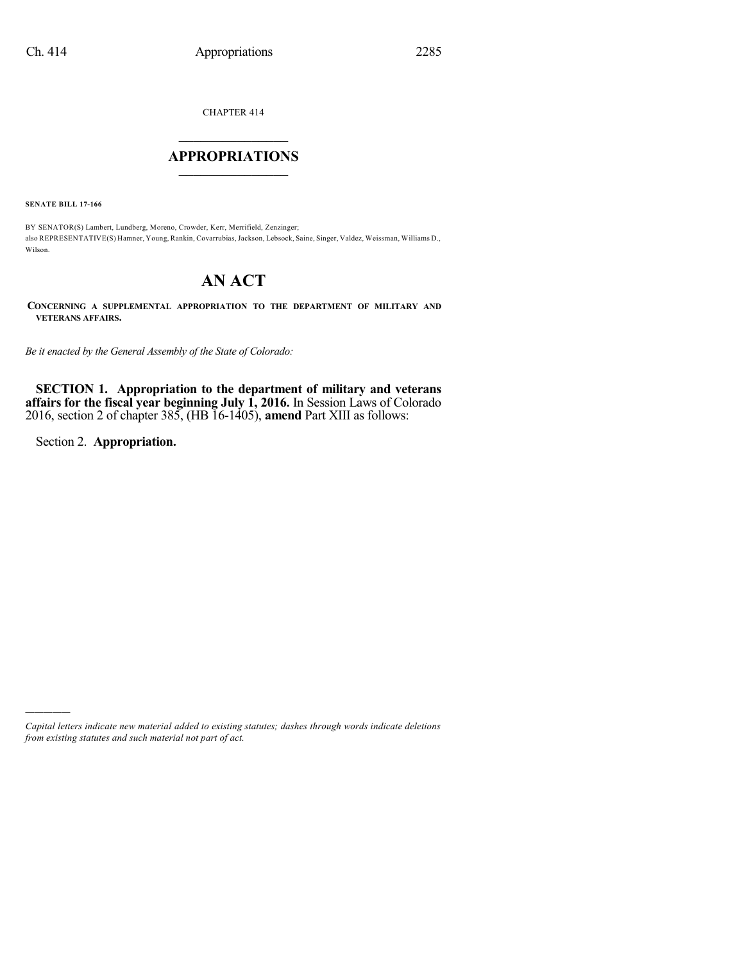CHAPTER 414

## $\mathcal{L}_\text{max}$  . The set of the set of the set of the set of the set of the set of the set of the set of the set of the set of the set of the set of the set of the set of the set of the set of the set of the set of the set **APPROPRIATIONS**  $\_$   $\_$   $\_$   $\_$   $\_$   $\_$   $\_$   $\_$

**SENATE BILL 17-166**

BY SENATOR(S) Lambert, Lundberg, Moreno, Crowder, Kerr, Merrifield, Zenzinger; also REPRESENTATIVE(S) Hamner, Young, Rankin, Covarrubias, Jackson, Lebsock, Saine, Singer, Valdez, Weissman, Williams D., Wilson.

# **AN ACT**

**CONCERNING A SUPPLEMENTAL APPROPRIATION TO THE DEPARTMENT OF MILITARY AND VETERANS AFFAIRS.**

*Be it enacted by the General Assembly of the State of Colorado:*

**SECTION 1. Appropriation to the department of military and veterans affairs for the fiscal year beginning July 1, 2016.** In Session Laws of Colorado 2016, section 2 of chapter 385, (HB 16-1405), **amend** Part XIII as follows:

Section 2. **Appropriation.**

)))))

*Capital letters indicate new material added to existing statutes; dashes through words indicate deletions from existing statutes and such material not part of act.*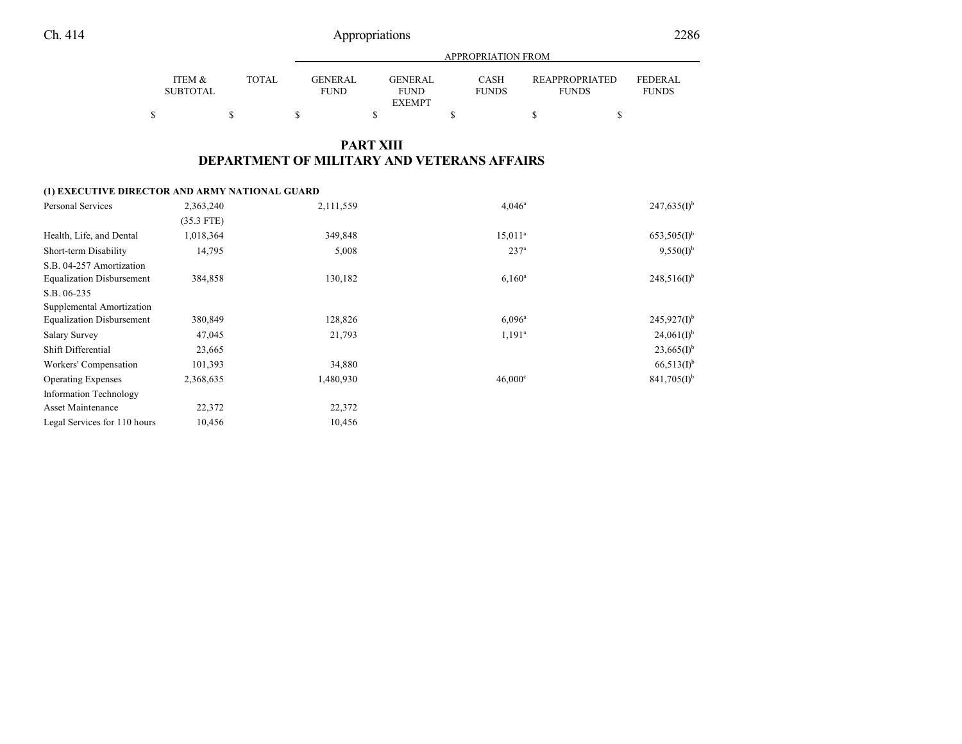|                           |              | APPROPRIATION FROM             |  |                         |  |                      |  |                                       |                                |
|---------------------------|--------------|--------------------------------|--|-------------------------|--|----------------------|--|---------------------------------------|--------------------------------|
| ITEM &<br><b>SUBTOTAL</b> | <b>TOTAL</b> | <b>GENER AL</b><br><b>FUND</b> |  | GENER AL<br><b>FUND</b> |  | CASH<br><b>FUNDS</b> |  | <b>REAPPROPRIATED</b><br><b>FUNDS</b> | <b>FEDERAL</b><br><b>FUNDS</b> |
|                           |              |                                |  | <b>EXEMPT</b>           |  |                      |  |                                       |                                |

## **PART XIII DEPARTMENT OF MILITARY AND VETERANS AFFAIRS**

#### **(1) EXECUTIVE DIRECTOR AND ARMY NATIONAL GUARD**

| <b>Personal Services</b>         | 2,363,240    | 2,111,559 | $4.046^a$        | $247,635(I)^{b}$          |
|----------------------------------|--------------|-----------|------------------|---------------------------|
|                                  | $(35.3$ FTE) |           |                  |                           |
| Health, Life, and Dental         | 1,018,364    | 349,848   | $15,011^a$       | $653,505(1)$ <sup>b</sup> |
| Short-term Disability            | 14,795       | 5,008     | 237 <sup>a</sup> | $9,550(I)^{b}$            |
| S.B. 04-257 Amortization         |              |           |                  |                           |
| <b>Equalization Disbursement</b> | 384,858      | 130,182   | $6,160^a$        | $248,516(I)^{b}$          |
| S.B. 06-235                      |              |           |                  |                           |
| Supplemental Amortization        |              |           |                  |                           |
| <b>Equalization Disbursement</b> | 380,849      | 128,826   | $6,096^{\rm a}$  | $245,927(1)$ <sup>b</sup> |
| <b>Salary Survey</b>             | 47,045       | 21,793    | $1,191^a$        | $24,061(I)^{b}$           |
| Shift Differential               | 23,665       |           |                  | $23,665(I)^{b}$           |
| Workers' Compensation            | 101,393      | 34,880    |                  | $66,513(1)$ <sup>b</sup>  |
| <b>Operating Expenses</b>        | 2,368,635    | 1,480,930 | $46,000^\circ$   | $841,705(1)$ <sup>b</sup> |
| <b>Information Technology</b>    |              |           |                  |                           |
| Asset Maintenance                | 22,372       | 22,372    |                  |                           |
| Legal Services for 110 hours     | 10,456       | 10,456    |                  |                           |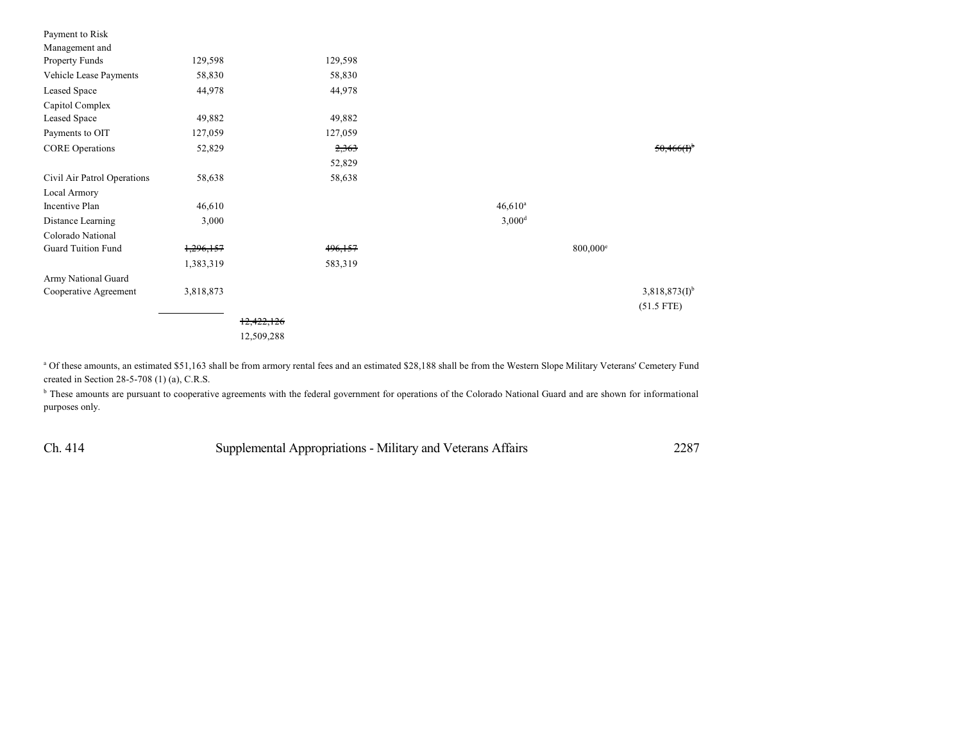| Payment to Risk             |           |            |         |                      |                   |                    |
|-----------------------------|-----------|------------|---------|----------------------|-------------------|--------------------|
| Management and              |           |            |         |                      |                   |                    |
| Property Funds              | 129,598   |            | 129,598 |                      |                   |                    |
| Vehicle Lease Payments      | 58,830    |            | 58,830  |                      |                   |                    |
| Leased Space                | 44,978    |            | 44,978  |                      |                   |                    |
| Capitol Complex             |           |            |         |                      |                   |                    |
| Leased Space                | 49,882    |            | 49,882  |                      |                   |                    |
| Payments to OIT             | 127,059   |            | 127,059 |                      |                   |                    |
| <b>CORE Operations</b>      | 52,829    |            | 2,363   |                      |                   | 50,466(f)          |
|                             |           |            | 52,829  |                      |                   |                    |
| Civil Air Patrol Operations | 58,638    |            | 58,638  |                      |                   |                    |
| Local Armory                |           |            |         |                      |                   |                    |
| Incentive Plan              | 46,610    |            |         | $46,610^a$           |                   |                    |
| Distance Learning           | 3,000     |            |         | $3,000$ <sup>d</sup> |                   |                    |
| Colorado National           |           |            |         |                      |                   |                    |
| <b>Guard Tuition Fund</b>   | 1,296,157 |            | 496,157 |                      | $800,000^{\circ}$ |                    |
|                             | 1,383,319 |            | 583,319 |                      |                   |                    |
| Army National Guard         |           |            |         |                      |                   |                    |
| Cooperative Agreement       | 3,818,873 |            |         |                      |                   | $3,818,873(I)^{b}$ |
|                             |           |            |         |                      |                   | $(51.5$ FTE)       |
|                             |           | 12,422,126 |         |                      |                   |                    |
|                             |           | 12,509,288 |         |                      |                   |                    |

<sup>a</sup> Of these amounts, an estimated \$51,163 shall be from armory rental fees and an estimated \$28,188 shall be from the Western Slope Military Veterans' Cemetery Fund created in Section 28-5-708 (1) (a), C.R.S.

<sup>b</sup> These amounts are pursuant to cooperative agreements with the federal government for operations of the Colorado National Guard and are shown for informational purposes only.

Ch. 414 Supplemental Appropriations - Military and Veterans Affairs 2287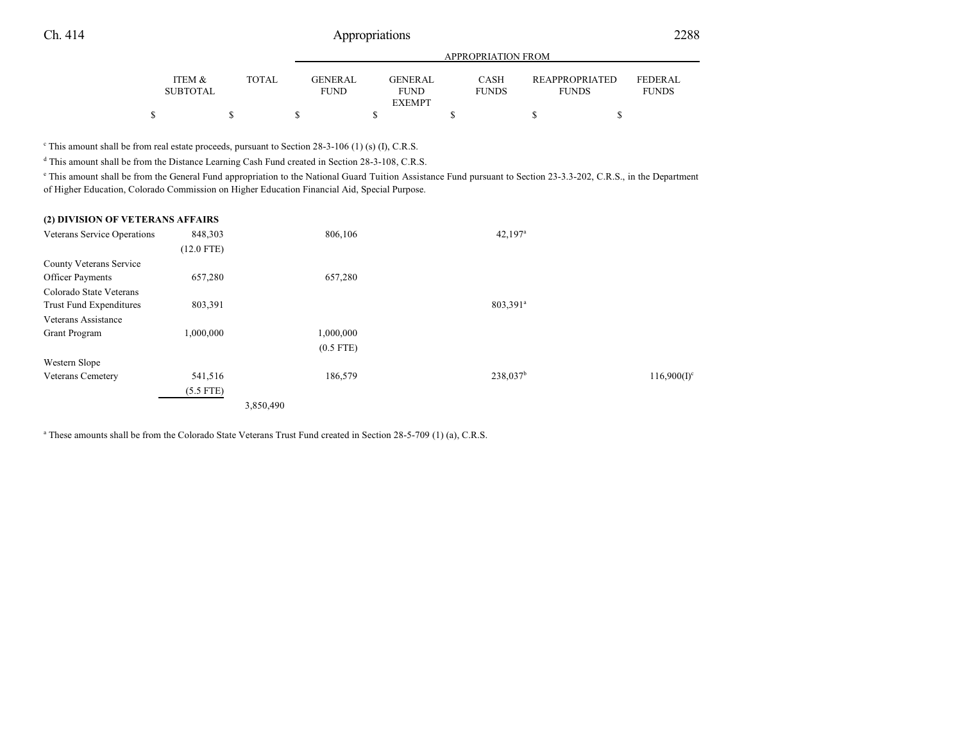|                           |              |                               | APPROPRIATION FROM            |                             |  |                                                                         |  |  |  |  |
|---------------------------|--------------|-------------------------------|-------------------------------|-----------------------------|--|-------------------------------------------------------------------------|--|--|--|--|
| ITEM &<br><b>SUBTOTAL</b> | <b>TOTAL</b> | <b>GENERAL</b><br><b>FUND</b> | <b>GENERAL</b><br><b>FUND</b> | <b>CASH</b><br><b>FUNDS</b> |  | <b>REAPPROPRIATED</b><br><b>FEDERAL</b><br><b>FUNDS</b><br><b>FUNDS</b> |  |  |  |  |
|                           |              |                               | <b>EXEMPT</b>                 |                             |  |                                                                         |  |  |  |  |
|                           |              |                               |                               |                             |  |                                                                         |  |  |  |  |

<sup>c</sup> This amount shall be from real estate proceeds, pursuant to Section 28-3-106 (1) (s) (I), C.R.S.

<sup>d</sup> This amount shall be from the Distance Learning Cash Fund created in Section 28-3-108, C.R.S.

<sup>e</sup> This amount shall be from the General Fund appropriation to the National Guard Tuition Assistance Fund pursuant to Section 23-3.3-202, C.R.S., in the Department of Higher Education, Colorado Commission on Higher Education Financial Aid, Special Purpose.

| (2) DIVISION OF VETERANS AFFAIRS |              |             |                       |                |
|----------------------------------|--------------|-------------|-----------------------|----------------|
| Veterans Service Operations      | 848,303      | 806,106     | $42,197$ <sup>a</sup> |                |
|                                  | $(12.0$ FTE) |             |                       |                |
| County Veterans Service          |              |             |                       |                |
| Officer Payments                 | 657,280      | 657,280     |                       |                |
| Colorado State Veterans          |              |             |                       |                |
| Trust Fund Expenditures          | 803,391      |             | 803,391 <sup>a</sup>  |                |
| Veterans Assistance              |              |             |                       |                |
| <b>Grant Program</b>             | 1,000,000    | 1,000,000   |                       |                |
|                                  |              | $(0.5$ FTE) |                       |                |
| Western Slope                    |              |             |                       |                |
| <b>Veterans Cemetery</b>         | 541,516      | 186,579     | 238,037 <sup>b</sup>  | $116,900(I)^c$ |
|                                  | $(5.5$ FTE)  |             |                       |                |
|                                  |              | 3,850,490   |                       |                |

a These amounts shall be from the Colorado State Veterans Trust Fund created in Section 28-5-709 (1) (a), C.R.S.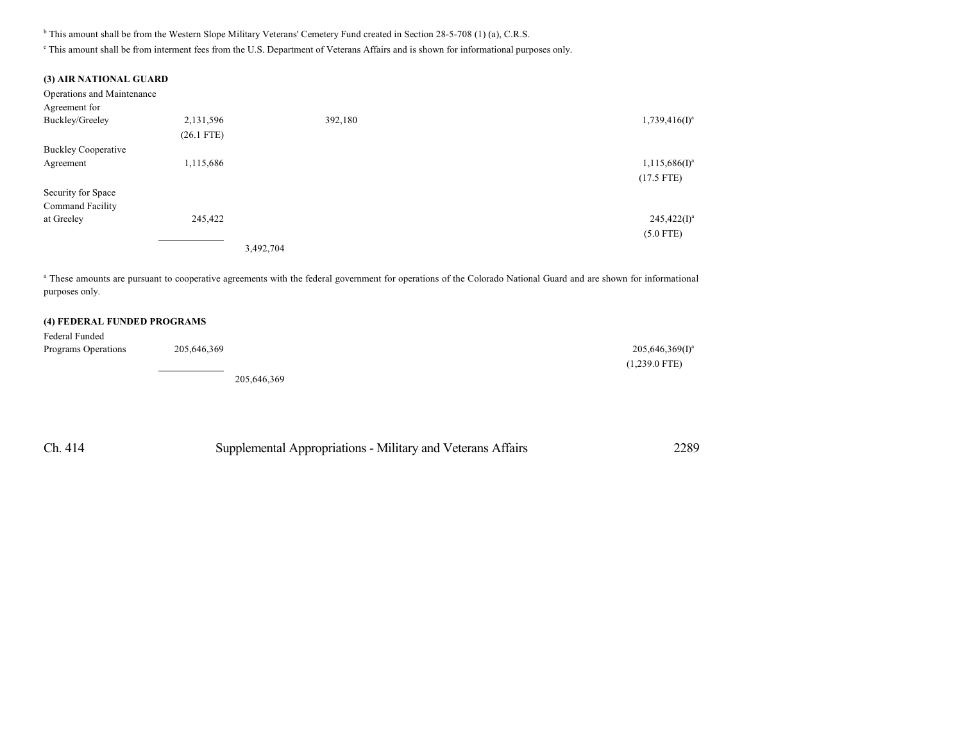<sup>b</sup> This amount shall be from the Western Slope Military Veterans' Cemetery Fund created in Section 28-5-708 (1) (a), C.R.S.

c This amount shall be from interment fees from the U.S. Department of Veterans Affairs and is shown for informational purposes only.

#### **(3) AIR NATIONAL GUARD**

| Operations and Maintenance |              |           |                              |
|----------------------------|--------------|-----------|------------------------------|
| Agreement for              |              |           |                              |
| Buckley/Greeley            | 2,131,596    | 392,180   | $1,739,416$ (I) <sup>a</sup> |
|                            | $(26.1$ FTE) |           |                              |
| <b>Buckley Cooperative</b> |              |           |                              |
| Agreement                  | 1,115,686    |           | $1,115,686(I)^a$             |
|                            |              |           | $(17.5$ FTE)                 |
| Security for Space         |              |           |                              |
| Command Facility           |              |           |                              |
| at Greeley                 | 245,422      |           | $245,422(I)^a$               |
|                            |              |           | $(5.0$ FTE)                  |
|                            |              | 3,492,704 |                              |

<sup>a</sup> These amounts are pursuant to cooperative agreements with the federal government for operations of the Colorado National Guard and are shown for informational purposes only.

### **(4) FEDERAL FUNDED PROGRAMS**

| Federal Funded      |             |                    |
|---------------------|-------------|--------------------|
| Programs Operations | 205,646,369 | $205,646,369(1)^a$ |
|                     |             | $(1,239.0$ FTE)    |

205,646,369

Ch. 414 Supplemental Appropriations - Military and Veterans Affairs 2289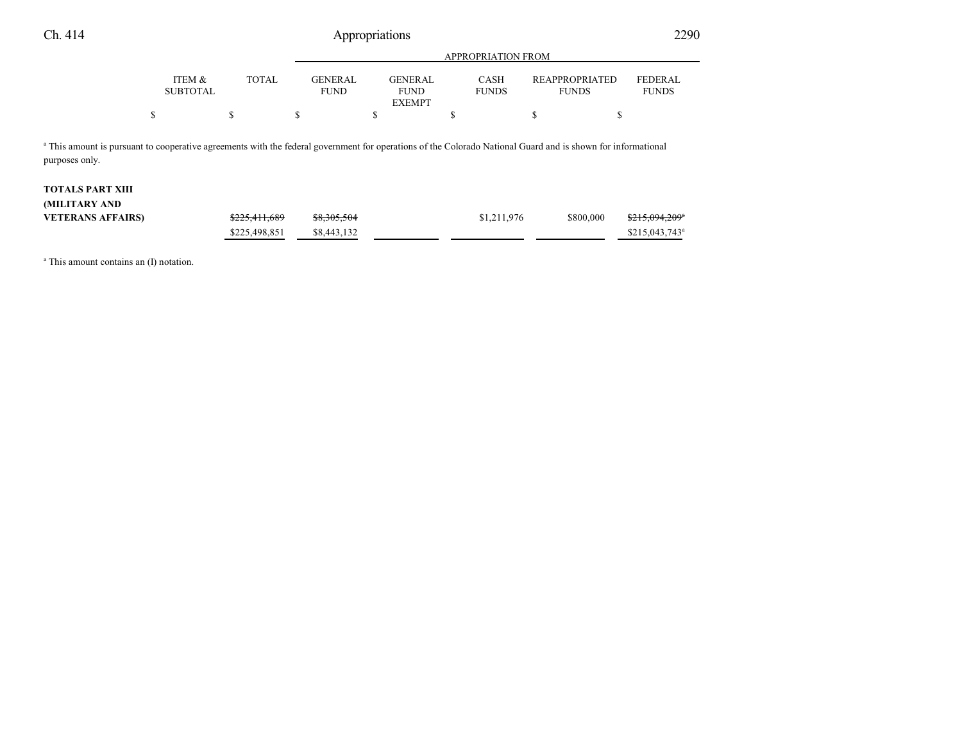|                                                                                                                                                                                           |                           |                                               | <b>APPROPRIATION FROM</b> |                                                |                      |                                       |                                |  |  |
|-------------------------------------------------------------------------------------------------------------------------------------------------------------------------------------------|---------------------------|-----------------------------------------------|---------------------------|------------------------------------------------|----------------------|---------------------------------------|--------------------------------|--|--|
|                                                                                                                                                                                           | ITEM &<br><b>SUBTOTAL</b> | <b>TOTAL</b><br><b>GENERAL</b><br><b>FUND</b> |                           | <b>GENERAL</b><br><b>FUND</b><br><b>EXEMPT</b> | CASH<br><b>FUNDS</b> | <b>REAPPROPRIATED</b><br><b>FUNDS</b> | <b>FEDERAL</b><br><b>FUNDS</b> |  |  |
| \$                                                                                                                                                                                        |                           | S                                             | S                         | ъ                                              | S                    | D                                     |                                |  |  |
| <sup>a</sup> This amount is pursuant to cooperative agreements with the federal government for operations of the Colorado National Guard and is shown for informational<br>purposes only. |                           |                                               |                           |                                                |                      |                                       |                                |  |  |
| <b>TOTALS PART XIII</b>                                                                                                                                                                   |                           |                                               |                           |                                                |                      |                                       |                                |  |  |

| (MILITARY AND            |                          |             |             |           |                                       |
|--------------------------|--------------------------|-------------|-------------|-----------|---------------------------------------|
| <b>VETERANS AFFAIRS)</b> | <del>\$225,411,689</del> | \$8,305,504 | \$1,211,976 | \$800,000 | <del>\$215,094,209</del> <sup>a</sup> |
|                          | \$225,498,851            | \$8,443,132 |             |           | $$215.043.743$ <sup>a</sup>           |

a This amount contains an (I) notation.